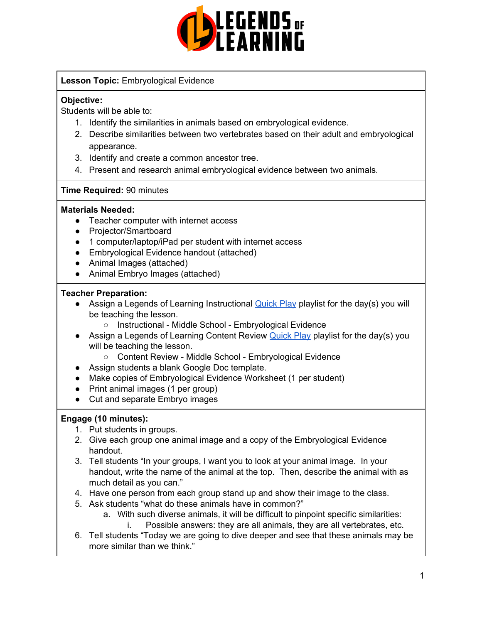

#### **Lesson Topic:** Embryological Evidence

#### **Objective:**

Students will be able to:

- 1. Identify the similarities in animals based on embryological evidence.
- 2. Describe similarities between two vertebrates based on their adult and embryological appearance.
- 3. Identify and create a common ancestor tree.
- 4. Present and research animal embryological evidence between two animals.

### **Time Required:** 90 minutes

#### **Materials Needed:**

- Teacher computer with internet access
- Projector/Smartboard
- 1 computer/laptop/iPad per student with internet access
- Embryological Evidence handout (attached)
- Animal Images (attached)
- Animal Embryo Images (attached)

#### **Teacher Preparation:**

- Assign a Legends of Learning Instructional [Quick](https://intercom.help/legends-of-learning/en/articles/2701866-assigning-a-quick-play-playlist) Play playlist for the day(s) you will be teaching the lesson.
	- Instructional Middle School Embryological Evidence
- Assign a Legends of Learning Content Review [Quick](https://intercom.help/legends-of-learning/en/articles/2701866-assigning-a-quick-play-playlist) Play playlist for the day(s) you will be teaching the lesson.
	- Content Review Middle School Embryological Evidence
- Assign students a blank Google Doc template.
- Make copies of Embryological Evidence Worksheet (1 per student)
- Print animal images (1 per group)
- Cut and separate Embryo images

#### **Engage (10 minutes):**

- 1. Put students in groups.
- 2. Give each group one animal image and a copy of the Embryological Evidence handout.
- 3. Tell students "In your groups, I want you to look at your animal image. In your handout, write the name of the animal at the top. Then, describe the animal with as much detail as you can."
- 4. Have one person from each group stand up and show their image to the class.
- 5. Ask students "what do these animals have in common?"
	- a. With such diverse animals, it will be difficult to pinpoint specific similarities:
		- i. Possible answers: they are all animals, they are all vertebrates, etc.
- 6. Tell students "Today we are going to dive deeper and see that these animals may be more similar than we think."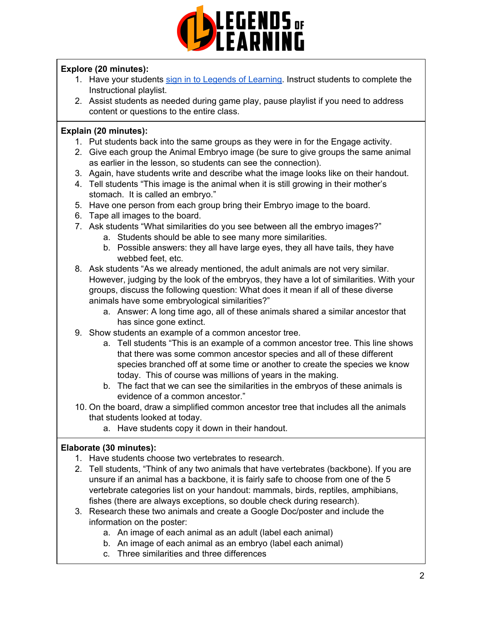

### **Explore (20 minutes):**

- 1. Have your students sign in to Legends of [Learning](https://intercom.help/legends-of-learning/en/articles/2154920-students-joining-a-playlist). Instruct students to complete the Instructional playlist.
- 2. Assist students as needed during game play, pause playlist if you need to address content or questions to the entire class.

### **Explain (20 minutes):**

- 1. Put students back into the same groups as they were in for the Engage activity.
- 2. Give each group the Animal Embryo image (be sure to give groups the same animal as earlier in the lesson, so students can see the connection).
- 3. Again, have students write and describe what the image looks like on their handout.
- 4. Tell students "This image is the animal when it is still growing in their mother's stomach. It is called an embryo."
- 5. Have one person from each group bring their Embryo image to the board.
- 6. Tape all images to the board.
- 7. Ask students "What similarities do you see between all the embryo images?"
	- a. Students should be able to see many more similarities.
	- b. Possible answers: they all have large eyes, they all have tails, they have webbed feet, etc.
- 8. Ask students "As we already mentioned, the adult animals are not very similar. However, judging by the look of the embryos, they have a lot of similarities. With your groups, discuss the following question: What does it mean if all of these diverse animals have some embryological similarities?"
	- a. Answer: A long time ago, all of these animals shared a similar ancestor that has since gone extinct.
- 9. Show students an example of a common ancestor tree.
	- a. Tell students "This is an example of a common ancestor tree. This line shows that there was some common ancestor species and all of these different species branched off at some time or another to create the species we know today. This of course was millions of years in the making.
	- b. The fact that we can see the similarities in the embryos of these animals is evidence of a common ancestor."
- 10. On the board, draw a simplified common ancestor tree that includes all the animals that students looked at today.
	- a. Have students copy it down in their handout.

### **Elaborate (30 minutes):**

- 1. Have students choose two vertebrates to research.
- 2. Tell students, "Think of any two animals that have vertebrates (backbone). If you are unsure if an animal has a backbone, it is fairly safe to choose from one of the 5 vertebrate categories list on your handout: mammals, birds, reptiles, amphibians, fishes (there are always exceptions, so double check during research).
- 3. Research these two animals and create a Google Doc/poster and include the information on the poster:
	- a. An image of each animal as an adult (label each animal)
	- b. An image of each animal as an embryo (label each animal)
	- c. Three similarities and three differences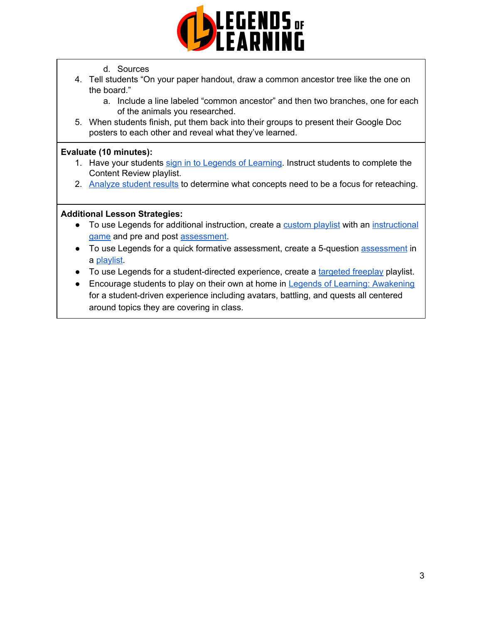

- d. Sources
- 4. Tell students "On your paper handout, draw a common ancestor tree like the one on the board."
	- a. Include a line labeled "common ancestor" and then two branches, one for each of the animals you researched.
- 5. When students finish, put them back into their groups to present their Google Doc posters to each other and reveal what they've learned.

#### **Evaluate (10 minutes):**

- 1. Have your students sign in to Legends of [Learning](https://intercom.help/legends-of-learning/en/articles/2154920-students-joining-a-playlist). Instruct students to complete the Content Review playlist.
- 2. [Analyze](https://intercom.help/legends-of-learning/en/articles/2154918-tracking-student-progress-and-performance) student results to determine what concepts need to be a focus for reteaching.

#### **Additional Lesson Strategies:**

- To use Legends for additional instruction, create a [custom](https://intercom.help/legends-of-learning/en/articles/2154910-creating-a-playlist) playlist with an [instructional](https://intercom.help/legends-of-learning/en/articles/3505828-types-of-games) [game](https://intercom.help/legends-of-learning/en/articles/3505828-types-of-games) and pre and post [assessment](https://intercom.help/legends-of-learning/en/articles/2154913-adding-assessments-to-a-playlist).
- To use Legends for a quick formative [assessment](https://intercom.help/legends-of-learning/en/articles/2154913-adding-assessments-to-a-playlist), create a 5-question assessment in a [playlist](https://intercom.help/legends-of-learning/en/articles/2154910-creating-a-playlist).
- To use Legends for a student-directed experience, create a [targeted](https://intercom.help/legends-of-learning/en/articles/3340814-targeted-freeplay) freeplay playlist.
- Encourage students to play on their own at home in Legends of Learning: [Awakening](https://intercom.help/legends-of-learning/en/articles/2425490-legends-of-learning-awakening) for a student-driven experience including avatars, battling, and quests all centered around topics they are covering in class.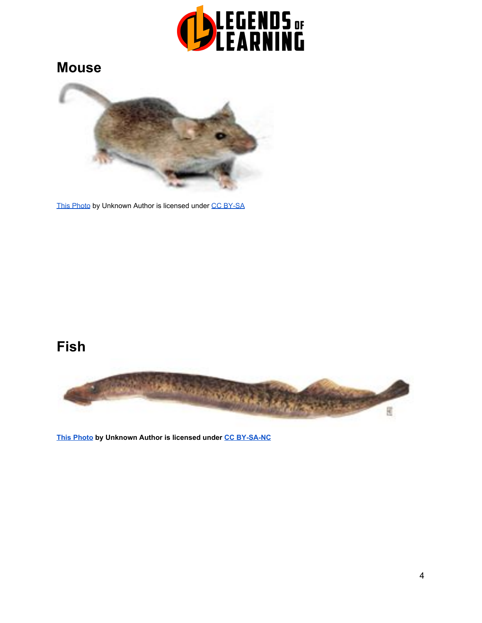

### **Mouse**



[This Photo](https://en.wikipedia.org/wiki/Mus_(genus)) by Unknown Autho[r](https://creativecommons.org/licenses/by-sa/3.0/) is licensed under [CC BY-SA](https://creativecommons.org/licenses/by-sa/3.0/)

## **Fish**



**[This Photo](http://www.devbio.biology.gatech.edu/vertebrate-development/zebrafish/sea-lamprey-brain-shows-evolution-of-neurotransmitter-colocalization-in-vertebrates/) by Unknown Author is licensed under [CC BY-SA-NC](https://creativecommons.org/licenses/by-nc-sa/3.0/)**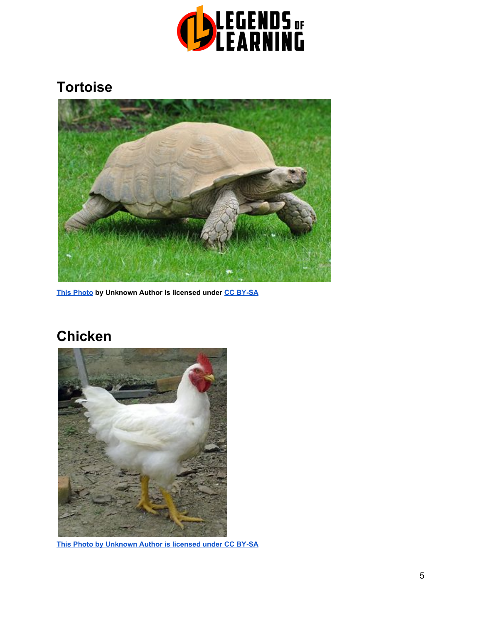

## **Tortoise**



**[This Photo](https://en.wikipedia.org/wiki/African_spurred_tortoise) by Unknown Author is licensed under [CC BY-SA](https://creativecommons.org/licenses/by-sa/3.0/)**

# **Chicken**



**[This Photo](https://en.wikipedia.org/wiki/Broiler_industry) by Unknown Author is licensed under [CC BY-SA](https://creativecommons.org/licenses/by-sa/3.0/)**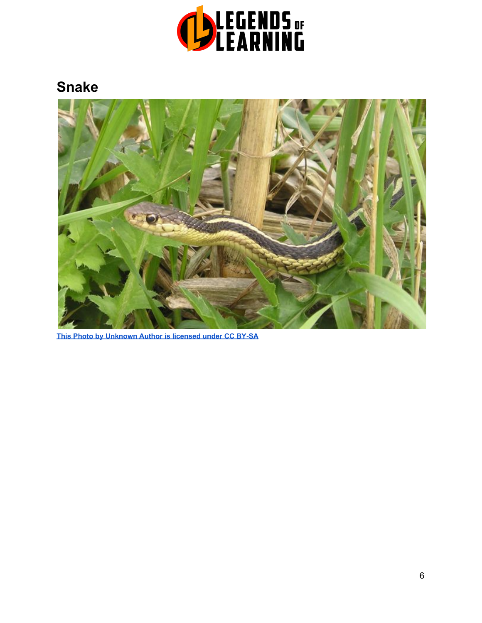

## **Snake**



**[This Photo](https://commons.wikimedia.org/wiki/File:Garter_Snake.jpg) by Unknown Author is licensed under [CC BY-SA](https://creativecommons.org/licenses/by-sa/3.0/)**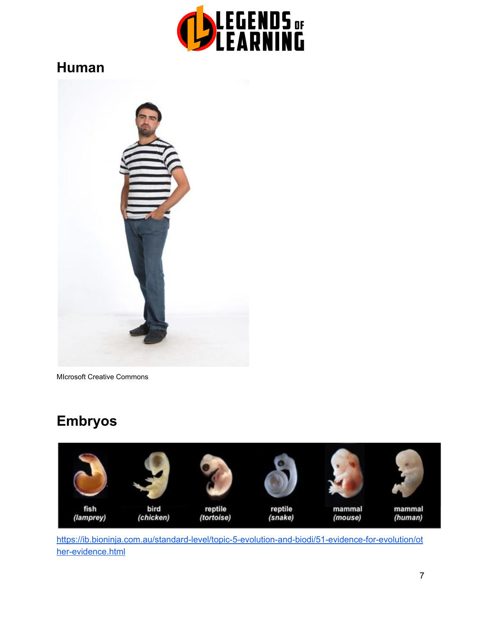

### **Human**



MIcrosoft Creative Commons

## **Embryos**



[https://ib.bioninja.com.au/standard-level/topic-5-evolution-and-biodi/51-evidence-for-evolution/ot](https://ib.bioninja.com.au/standard-level/topic-5-evolution-and-biodi/51-evidence-for-evolution/other-evidence.html) [her-evidence.html](https://ib.bioninja.com.au/standard-level/topic-5-evolution-and-biodi/51-evidence-for-evolution/other-evidence.html)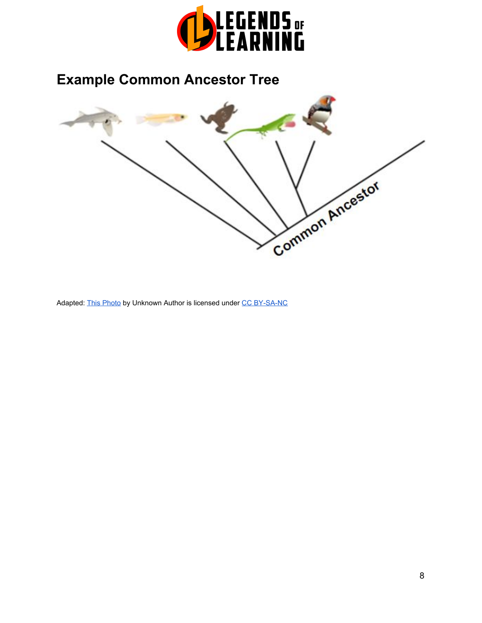

# **Example Common Ancestor Tree**



Adapted: [This Photo](http://egosumdaniel.blogspot.com/2010/03/highly-evolved.html) by Unknown Author is licensed under [CC BY-SA-NC](https://creativecommons.org/licenses/by-nc-sa/3.0/)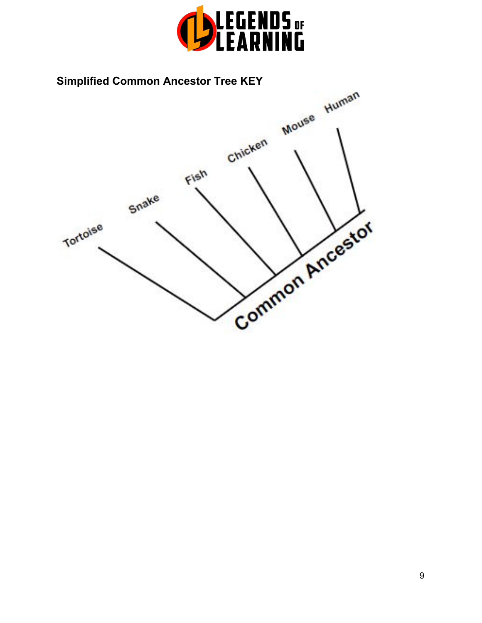

### **Simplified Common Ancestor Tree KEY**

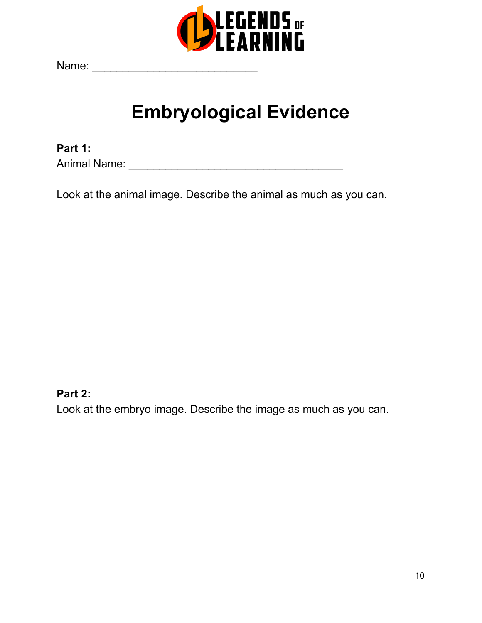

Name: \_\_\_\_\_\_\_\_\_\_\_\_\_\_\_\_\_\_\_\_\_\_\_\_\_\_\_

# **Embryological Evidence**

**Part 1:** Animal Name: \_\_\_\_\_\_\_\_\_\_\_\_\_\_\_\_\_\_\_\_\_\_\_\_\_\_\_\_\_\_\_\_\_\_\_

Look at the animal image. Describe the animal as much as you can.

### **Part 2:**

Look at the embryo image. Describe the image as much as you can.